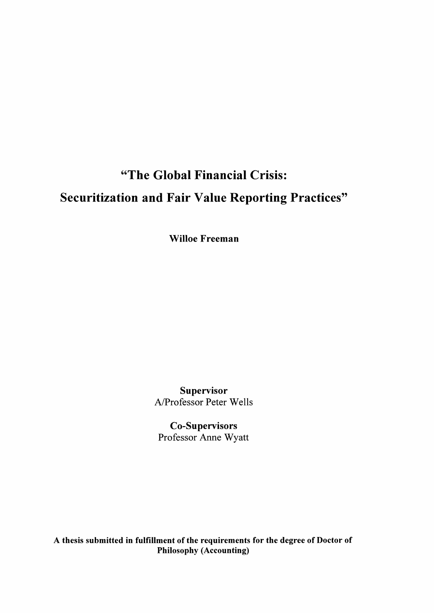# **"The Global Financial Crisis: Securitization and Fair Value Reporting Practices"**

**Willoe Freeman**

**Supervisor** A/Professor Peter Wells

**Co-Supervisors** Professor Anne Wyatt

**A thesis submitted in fulfillment of the requirements for the degree of Doctor of Philosophy (Accounting)**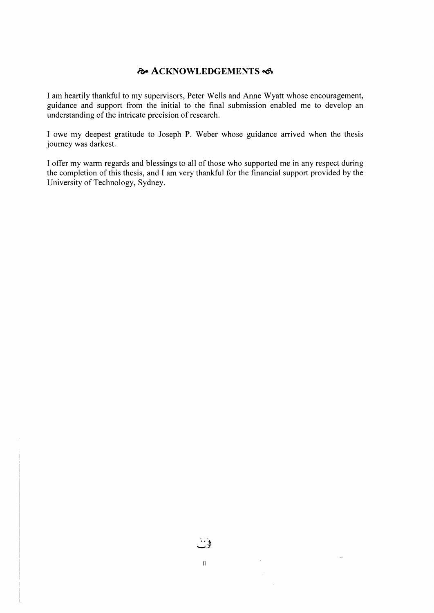## $\lambda$ **CKNOWLEDGEMENTS**

I am heartily thankful to my supervisors, Peter Wells and Anne Wyatt whose encouragement, guidance and support from the initial to the final submission enabled me to develop an understanding of the intricate precision of research.

I owe my deepest gratitude to Joseph P. Weber whose guidance arrived when the thesis journey was darkest.

I offer my warm regards and blessings to all of those who supported me in any respect during the completion of this thesis, and I am very thankful for the financial support provided by the University of Technology, Sydney.

 $\mathbf{I}$ 

 $\bar{u}$ 

 $\mathcal{L}_{\mathrm{eff}}$ 

 $\ddot{\phantom{0}}$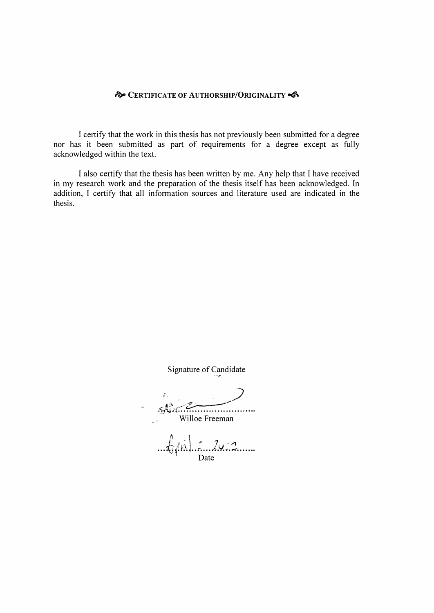#### **CERTIFICATE OF AUTHORSHIP/ORIGINALITY**

I certify that the work in this thesis has not previously been submitted for a degree nor has it been submitted as part of requirements for a degree except as fully acknowledged within the text.

I also certify that the thesis has been written by me. Any help that I have received in my research work and the preparation of the thesis itself has been acknowledged. In addition, I certify that all information sources and literature used are indicated in the thesis.

Signature of Candidate

Willoe Freeman

 $\lim_{\text{Date}}$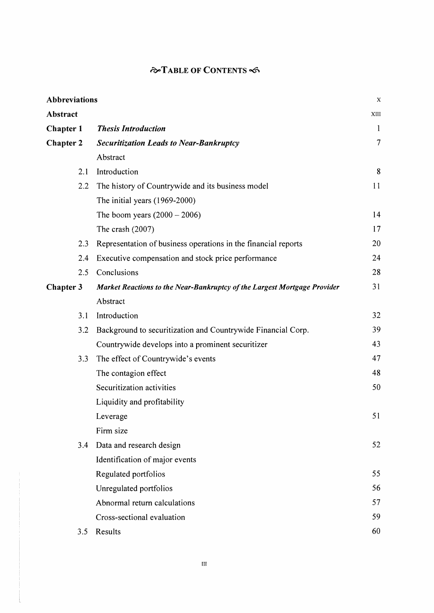# **stable of Contents -d5\***

| <b>Abbreviations</b> |                                                                          | $\mathbf x$  |
|----------------------|--------------------------------------------------------------------------|--------------|
| Abstract             |                                                                          | XIII         |
| Chapter 1            | <b>Thesis Introduction</b>                                               | $\mathbf{1}$ |
| Chapter 2            | <b>Securitization Leads to Near-Bankruptcy</b>                           | 7            |
|                      | Abstract                                                                 |              |
| 2.1                  | Introduction                                                             | 8            |
| 2.2                  | The history of Countrywide and its business model                        | 11           |
|                      | The initial years (1969-2000)                                            |              |
|                      | The boom years $(2000 - 2006)$                                           | 14           |
|                      | The crash $(2007)$                                                       | 17           |
| 2.3                  | Representation of business operations in the financial reports           | 20           |
| 2.4                  | Executive compensation and stock price performance                       | 24           |
| 2.5                  | Conclusions                                                              | 28           |
| Chapter 3            | Market Reactions to the Near-Bankruptcy of the Largest Mortgage Provider | 31           |
|                      | Abstract                                                                 |              |
| 3.1                  | Introduction                                                             | 32           |
| 3.2                  | Background to securitization and Countrywide Financial Corp.             | 39           |
|                      | Countrywide develops into a prominent securitizer                        | 43           |
| 3.3                  | The effect of Countrywide's events                                       | 47           |
|                      | The contagion effect                                                     | 48           |
|                      | Securitization activities                                                | 50           |
|                      | Liquidity and profitability                                              |              |
|                      | Leverage                                                                 | 51           |
|                      | Firm size                                                                |              |
| 3.4                  | Data and research design                                                 | 52           |
|                      | Identification of major events                                           |              |
|                      | Regulated portfolios                                                     | 55           |
|                      | Unregulated portfolios                                                   | 56           |
|                      | Abnormal return calculations                                             | 57           |
|                      | Cross-sectional evaluation                                               | 59           |
| 3.5                  | Results                                                                  | 60           |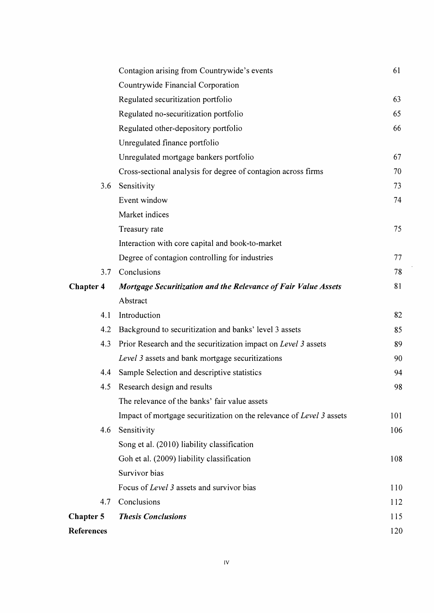|                   | Contagion arising from Countrywide's events                          | 61  |
|-------------------|----------------------------------------------------------------------|-----|
|                   | Countrywide Financial Corporation                                    |     |
|                   | Regulated securitization portfolio                                   | 63  |
|                   | Regulated no-securitization portfolio                                | 65  |
|                   | Regulated other-depository portfolio                                 | 66  |
|                   | Unregulated finance portfolio                                        |     |
|                   | Unregulated mortgage bankers portfolio                               | 67  |
|                   | Cross-sectional analysis for degree of contagion across firms        | 70  |
| 3.6               | Sensitivity                                                          | 73  |
|                   | Event window                                                         | 74  |
|                   | Market indices                                                       |     |
|                   | Treasury rate                                                        | 75  |
|                   | Interaction with core capital and book-to-market                     |     |
|                   | Degree of contagion controlling for industries                       | 77  |
| 3.7               | Conclusions                                                          | 78  |
| <b>Chapter 4</b>  | Mortgage Securitization and the Relevance of Fair Value Assets       | 81  |
|                   | Abstract                                                             |     |
| 4.1               | Introduction                                                         | 82  |
| 4.2               | Background to securitization and banks' level 3 assets               | 85  |
| 4.3               | Prior Research and the securitization impact on Level 3 assets       | 89  |
|                   | Level 3 assets and bank mortgage securitizations                     | 90  |
| 4.4               | Sample Selection and descriptive statistics                          | 94  |
| 4.5               | Research design and results                                          | 98  |
|                   | The relevance of the banks' fair value assets                        |     |
|                   | Impact of mortgage securitization on the relevance of Level 3 assets | 101 |
| 4.6               | Sensitivity                                                          | 106 |
|                   | Song et al. (2010) liability classification                          |     |
|                   | Goh et al. (2009) liability classification                           | 108 |
|                   | Survivor bias                                                        |     |
|                   | Focus of Level 3 assets and survivor bias                            | 110 |
| 4.7               | Conclusions                                                          | 112 |
| <b>Chapter 5</b>  | <b>Thesis Conclusions</b>                                            | 115 |
| <b>References</b> |                                                                      | 120 |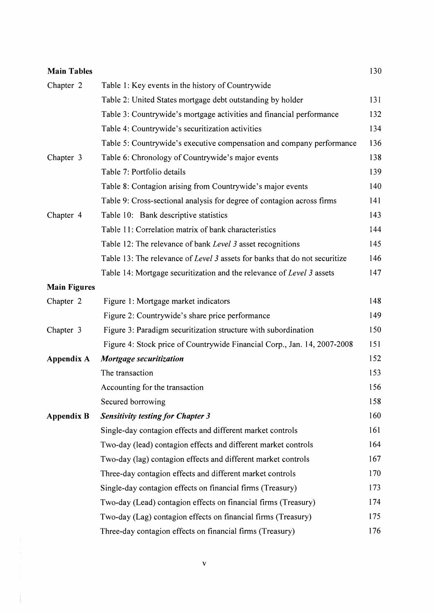| <b>Main Tables</b>  |                                                                            | 130 |
|---------------------|----------------------------------------------------------------------------|-----|
| Chapter 2           | Table 1: Key events in the history of Countrywide                          |     |
|                     | Table 2: United States mortgage debt outstanding by holder                 | 131 |
|                     | Table 3: Countrywide's mortgage activities and financial performance       | 132 |
|                     | Table 4: Countrywide's securitization activities                           | 134 |
|                     | Table 5: Countrywide's executive compensation and company performance      | 136 |
| Chapter 3           | Table 6: Chronology of Countrywide's major events                          | 138 |
|                     | Table 7: Portfolio details                                                 | 139 |
|                     | Table 8: Contagion arising from Countrywide's major events                 | 140 |
|                     | Table 9: Cross-sectional analysis for degree of contagion across firms     | 141 |
| Chapter 4           | Table 10: Bank descriptive statistics                                      | 143 |
|                     | Table 11: Correlation matrix of bank characteristics                       | 144 |
|                     | Table 12: The relevance of bank Level 3 asset recognitions                 | 145 |
|                     | Table 13: The relevance of Level 3 assets for banks that do not securitize | 146 |
|                     | Table 14: Mortgage securitization and the relevance of Level 3 assets      | 147 |
| <b>Main Figures</b> |                                                                            |     |
| Chapter 2           | Figure 1: Mortgage market indicators                                       | 148 |
|                     | Figure 2: Countrywide's share price performance                            | 149 |
| Chapter 3           | Figure 3: Paradigm securitization structure with subordination             | 150 |
|                     | Figure 4: Stock price of Countrywide Financial Corp., Jan. 14, 2007-2008   | 151 |
| Appendix A          | Mortgage securitization                                                    | 152 |
|                     | The transaction                                                            | 153 |
|                     | Accounting for the transaction                                             | 156 |
|                     | Secured borrowing                                                          | 158 |
| <b>Appendix B</b>   | <b>Sensitivity testing for Chapter 3</b>                                   | 160 |
|                     | Single-day contagion effects and different market controls                 | 161 |
|                     | Two-day (lead) contagion effects and different market controls             | 164 |
|                     | Two-day (lag) contagion effects and different market controls              | 167 |
|                     | Three-day contagion effects and different market controls                  | 170 |
|                     | Single-day contagion effects on financial firms (Treasury)                 | 173 |
|                     | Two-day (Lead) contagion effects on financial firms (Treasury)             | 174 |
|                     | Two-day (Lag) contagion effects on financial firms (Treasury)              | 175 |
|                     | Three-day contagion effects on financial firms (Treasury)                  | 176 |

 $\begin{array}{c} \begin{array}{c} \begin{array}{c} \end{array} \\ \begin{array}{c} \end{array} \end{array} \end{array}$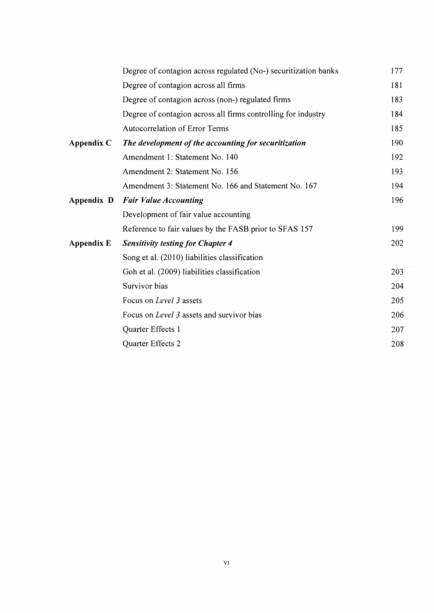|            | Degree of contagion across regulated (No-) securitization banks | 177 |
|------------|-----------------------------------------------------------------|-----|
|            | Degree of contagion across all firms                            | 181 |
|            | Degree of contagion across (non-) regulated firms               | 183 |
|            | Degree of contagion across all firms controlling for industry   | 184 |
|            | Autocorrelation of Error Terms                                  | 185 |
| Appendix C | The development of the accounting for securitization            | 190 |
|            | Amendment 1: Statement No. 140                                  | 192 |
|            | Amendment 2: Statement No. 156                                  | 193 |
|            | Amendment 3: Statement No. 166 and Statement No. 167            | 194 |
| Appendix D | <b>Fair Value Accounting</b>                                    | 196 |
|            | Development of fair value accounting                            |     |
|            | Reference to fair values by the FASB prior to SFAS 157          | 199 |
| Appendix E | <b>Sensitivity testing for Chapter 4</b>                        | 202 |
|            | Song et al. (2010) liabilities classification                   |     |
|            | Goh et al. (2009) liabilities classification                    | 203 |
|            | Survivor bias                                                   | 204 |
|            | Focus on Level 3 assets                                         | 205 |
|            | Focus on Level 3 assets and survivor bias                       | 206 |
|            | Quarter Effects 1                                               | 207 |
|            | Quarter Effects 2                                               | 208 |
|            |                                                                 |     |

 $\hat{\mathcal{A}}$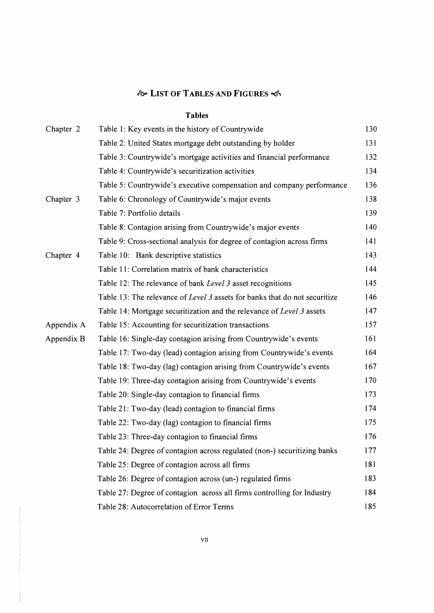# *r&°* **List of Tables and Figures**

#### **Tables**

| Chapter 2  | Table 1: Key events in the history of Countrywide                          | 130 |
|------------|----------------------------------------------------------------------------|-----|
|            | Table 2: United States mortgage debt outstanding by holder                 | 131 |
|            | Table 3: Countrywide's mortgage activities and financial performance       | 132 |
|            | Table 4: Countrywide's securitization activities                           | 134 |
|            | Table 5: Countrywide's executive compensation and company performance      | 136 |
| Chapter 3  | Table 6: Chronology of Countrywide's major events                          | 138 |
|            | Table 7: Portfolio details                                                 | 139 |
|            | Table 8: Contagion arising from Countrywide's major events                 | 140 |
|            | Table 9: Cross-sectional analysis for degree of contagion across firms     | 141 |
| Chapter 4  | Table 10: Bank descriptive statistics                                      | 143 |
|            | Table 11: Correlation matrix of bank characteristics                       | 144 |
|            | Table 12: The relevance of bank Level 3 asset recognitions                 | 145 |
|            | Table 13: The relevance of Level 3 assets for banks that do not securitize | 146 |
|            | Table 14: Mortgage securitization and the relevance of Level 3 assets      | 147 |
| Appendix A | Table 15: Accounting for securitization transactions                       | 157 |
| Appendix B | Table 16: Single-day contagion arising from Countrywide's events           | 161 |
|            | Table 17: Two-day (lead) contagion arising from Countrywide's events       | 164 |
|            | Table 18: Two-day (lag) contagion arising from Countrywide's events        | 167 |
|            | Table 19: Three-day contagion arising from Countrywide's events            | 170 |
|            | Table 20: Single-day contagion to financial firms                          | 173 |
|            | Table 21: Two-day (lead) contagion to financial firms                      | 174 |
|            | Table 22: Two-day (lag) contagion to financial firms                       | 175 |
|            | Table 23: Three-day contagion to financial firms                           | 176 |
|            | Table 24: Degree of contagion across regulated (non-) securitizing banks   | 177 |
|            | Table 25: Degree of contagion across all firms                             | 181 |
|            | Table 26: Degree of contagion across (un-) regulated firms                 | 183 |
|            | Table 27: Degree of contagion across all firms controlling for Industry    | 184 |
|            | Table 28: Autocorrelation of Error Terms                                   | 185 |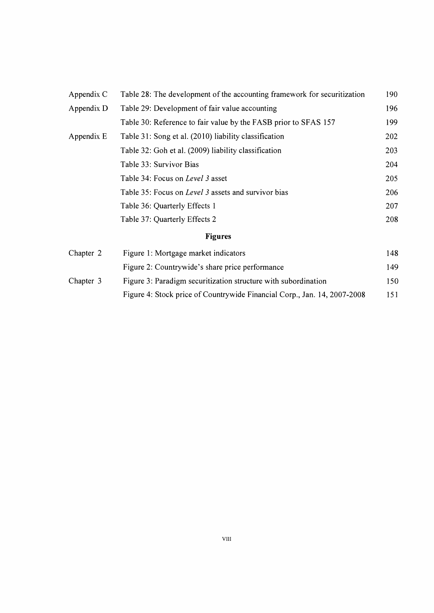| Appendix C | Table 28: The development of the accounting framework for securitization |     |
|------------|--------------------------------------------------------------------------|-----|
| Appendix D | Table 29: Development of fair value accounting                           |     |
|            | Table 30: Reference to fair value by the FASB prior to SFAS 157          | 199 |
| Appendix E | Table 31: Song et al. (2010) liability classification                    | 202 |
|            | Table 32: Goh et al. (2009) liability classification                     | 203 |
|            | Table 33: Survivor Bias                                                  | 204 |
|            | Table 34: Focus on Level 3 asset                                         | 205 |
|            | Table 35: Focus on Level 3 assets and survivor bias                      | 206 |
|            | Table 36: Quarterly Effects 1                                            | 207 |
|            | Table 37: Quarterly Effects 2                                            | 208 |
|            | <b>Figures</b>                                                           |     |
| Chapter 2  | Figure 1: Mortgage market indicators                                     | 148 |
|            | Figure 2: Countrywide's share price performance                          | 149 |

Chapter 3 Figure 3: Paradigm securitization structure with subordination 150 Figure 4: Stock price of Countrywide Financial Corp., Jan. 14, 2007-2008 151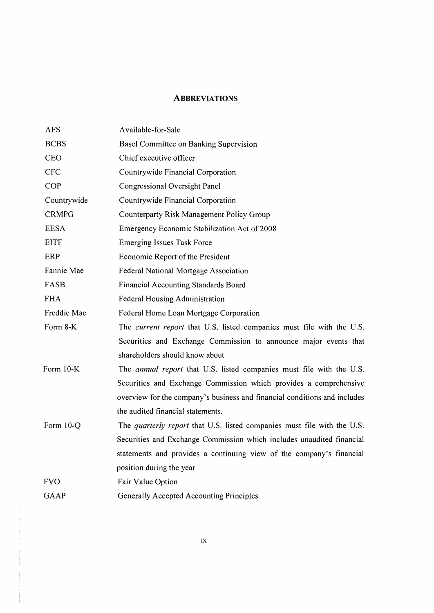### **Abbreviations**

| <b>AFS</b>   | Available-for-Sale                                                             |
|--------------|--------------------------------------------------------------------------------|
| <b>BCBS</b>  | Basel Committee on Banking Supervision                                         |
| <b>CEO</b>   | Chief executive officer                                                        |
| <b>CFC</b>   | Countrywide Financial Corporation                                              |
| <b>COP</b>   | Congressional Oversight Panel                                                  |
| Countrywide  | Countrywide Financial Corporation                                              |
| <b>CRMPG</b> | Counterparty Risk Management Policy Group                                      |
| <b>EESA</b>  | Emergency Economic Stabilization Act of 2008                                   |
| <b>EITF</b>  | <b>Emerging Issues Task Force</b>                                              |
| ERP          | Economic Report of the President                                               |
| Fannie Mae   | Federal National Mortgage Association                                          |
| FASB         | <b>Financial Accounting Standards Board</b>                                    |
| <b>FHA</b>   | <b>Federal Housing Administration</b>                                          |
| Freddie Mac  | Federal Home Loan Mortgage Corporation                                         |
| Form 8-K     | The current report that U.S. listed companies must file with the U.S.          |
|              | Securities and Exchange Commission to announce major events that               |
|              | shareholders should know about                                                 |
| Form 10-K    | The annual report that U.S. listed companies must file with the U.S.           |
|              | Securities and Exchange Commission which provides a comprehensive              |
|              | overview for the company's business and financial conditions and includes      |
|              | the audited financial statements.                                              |
| Form 10-Q    | The <i>quarterly report</i> that U.S. listed companies must file with the U.S. |
|              | Securities and Exchange Commission which includes unaudited financial          |
|              | statements and provides a continuing view of the company's financial           |
|              | position during the year                                                       |
| <b>FVO</b>   | Fair Value Option                                                              |
| <b>GAAP</b>  | Generally Accepted Accounting Principles                                       |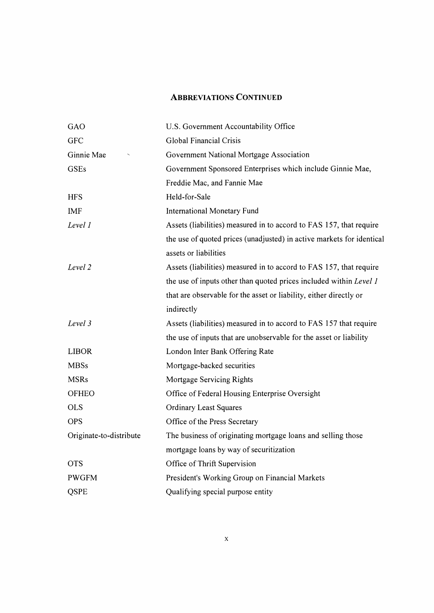## **Abbreviations Continued**

| GAO                     | U.S. Government Accountability Office                                 |
|-------------------------|-----------------------------------------------------------------------|
| <b>GFC</b>              | Global Financial Crisis                                               |
| Ginnie Mae              | Government National Mortgage Association                              |
| <b>GSEs</b>             | Government Sponsored Enterprises which include Ginnie Mae,            |
|                         | Freddie Mac, and Fannie Mae                                           |
| <b>HFS</b>              | Held-for-Sale                                                         |
| <b>IMF</b>              | <b>International Monetary Fund</b>                                    |
| Level 1                 | Assets (liabilities) measured in to accord to FAS 157, that require   |
|                         | the use of quoted prices (unadjusted) in active markets for identical |
|                         | assets or liabilities                                                 |
| Level 2                 | Assets (liabilities) measured in to accord to FAS 157, that require   |
|                         | the use of inputs other than quoted prices included within Level 1    |
|                         | that are observable for the asset or liability, either directly or    |
|                         | indirectly                                                            |
| Level 3                 | Assets (liabilities) measured in to accord to FAS 157 that require    |
|                         | the use of inputs that are unobservable for the asset or liability    |
| <b>LIBOR</b>            | London Inter Bank Offering Rate                                       |
| <b>MBSs</b>             | Mortgage-backed securities                                            |
| <b>MSRs</b>             | Mortgage Servicing Rights                                             |
| <b>OFHEO</b>            | Office of Federal Housing Enterprise Oversight                        |
| <b>OLS</b>              | <b>Ordinary Least Squares</b>                                         |
| <b>OPS</b>              | Office of the Press Secretary                                         |
| Originate-to-distribute | The business of originating mortgage loans and selling those          |
|                         | mortgage loans by way of securitization                               |
| <b>OTS</b>              | Office of Thrift Supervision                                          |
| <b>PWGFM</b>            | President's Working Group on Financial Markets                        |
| <b>QSPE</b>             | Qualifying special purpose entity                                     |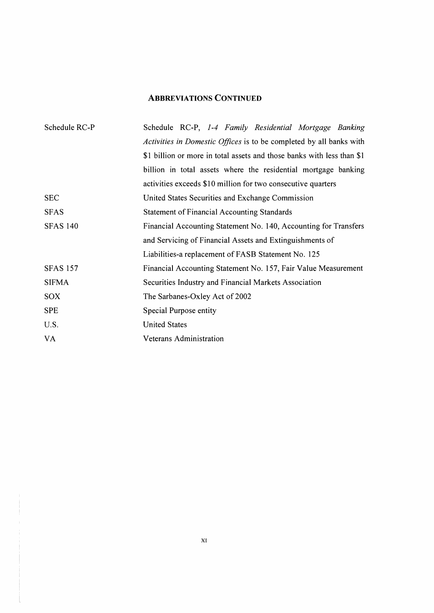## **Abbreviations Continued**

| Schedule RC-P   | Schedule RC-P, 1-4 Family Residential Mortgage Banking                 |
|-----------------|------------------------------------------------------------------------|
|                 | Activities in Domestic Offices is to be completed by all banks with    |
|                 | \$1 billion or more in total assets and those banks with less than \$1 |
|                 | billion in total assets where the residential mortgage banking         |
|                 | activities exceeds \$10 million for two consecutive quarters           |
| <b>SEC</b>      | United States Securities and Exchange Commission                       |
| <b>SFAS</b>     | <b>Statement of Financial Accounting Standards</b>                     |
| <b>SFAS 140</b> | Financial Accounting Statement No. 140, Accounting for Transfers       |
|                 | and Servicing of Financial Assets and Extinguishments of               |
|                 | Liabilities-a replacement of FASB Statement No. 125                    |
| <b>SFAS 157</b> | Financial Accounting Statement No. 157, Fair Value Measurement         |
| <b>SIFMA</b>    | Securities Industry and Financial Markets Association                  |
| <b>SOX</b>      | The Sarbanes-Oxley Act of 2002                                         |
| <b>SPE</b>      | Special Purpose entity                                                 |
| U.S.            | <b>United States</b>                                                   |
| VA              | Veterans Administration                                                |
|                 |                                                                        |